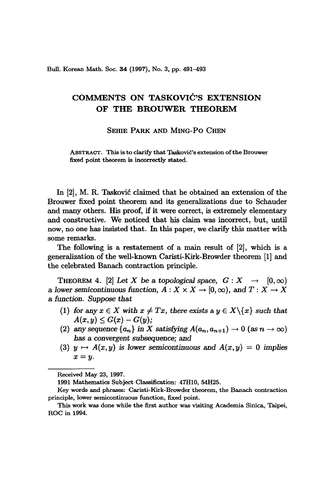Bull. Korean Math. Soc. 34 (1997), No. 3, pp. 491-493

## **COMMENTS ON TASKOVIC'S EXTENSION OF THE BROUWER THEOREM**

## SEHIE PARK AND MING-PO CHEN

ABSTRACT. This is to clarify that Tasković's extension of the Brouwer fixed point theorem is incorrectly stated.

In [2], M. R. Taskovic claimed that he obtained an extension of the Brouwer fixed point theorem and its generalizations due to Schauder and many others. His proof, if it were correct, is extremely elementary and constructive. We noticed that his claim was incorrect, but, until now, no one has insisted that. In this paper, we clarify this matter with some remarks.

The following is a restatement of a main result of [2], which is a generalization of the well-known Caristi-Kirk-Browder theorem [1] and the celebrated Banach contraction principle.

THEOREM 4. [2] Let *X* be a topological space,  $G: X \rightarrow [0, \infty)$ a lower semicontinuous function,  $A: X \times X \rightarrow [0, \infty)$ , and  $T: X \rightarrow X$ a *function. Suppose that*

- (1) *for* any  $x \in X$  *with*  $x \neq Tx$ *, there exists* a  $y \in X \setminus \{x\}$  *such that*  $A(x, y) \le G(x) - G(y);$
- (2) any sequence  $\{a_n\}$  in X satisfying  $A(a_n, a_{n+1}) \to 0$  (as  $n \to \infty$ ) *has* a *convergent subsequence;* and
- (3)  $y \mapsto A(x, y)$  is lower semicontinuous and  $A(x, y) = 0$  implies *x=y.*

1991 Mathematics Subject Classification: 47H10, 54H25.

Received May 23, 1997.

Key words and phrases: Caristi-Kirk-Browder theorem, the Banach contraction principle, lower semicontinuous function, fixed point.

This work was done while the first author was visiting Academia Sinica, Taipei, ROC in 1994.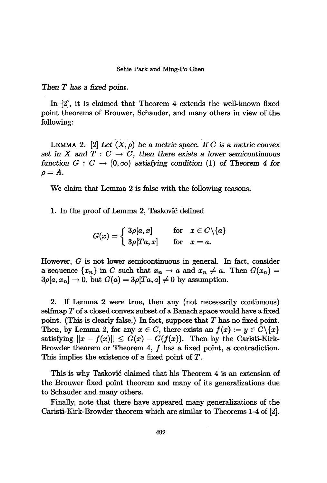*Then* T *has* a *fixed point.*

In [2], it is claimed that Theorem 4 extends the well-known fixed point theorems of Brouwer, Schauder, and many others in view of the following:

LEMMA 2. [2] Let  $(X, \rho)$  be a metric space. If C is a metric convex *set* in X and  $T: C \to C$ , *then there exists* a *lower semicontinuous function*  $G: C \rightarrow [0,\infty)$  *satisfying condition* (1) of *Theorem* 4 *for*  $\rho=A$ .

We claim that Lemma 2 is false with the following reasons:

1. In the proof of Lemma 2, Taskovic defined

$$
G(x)=\left\{\begin{array}{ll} 3\rho[a,x] \qquad \textrm{ for}\quad x\in C\backslash\{a\} \\ 3\rho[Ta,x] \qquad \textrm{ for}\quad x=a. \end{array}\right.
$$

However, G is not lower semicontinuous in general. In fact, consider a sequence  $\{x_n\}$  in C such that  $x_n \to a$  and  $x_n \neq a$ . Then  $G(x_n) = a$ a sequence  $\{x_n\}$  in *C* such that  $x_n \to a$  and  $x_n \neq a$ .<br>  $3\rho[a, x_n] \to 0$ , but  $G(a) = 3\rho[Ta, a] \neq 0$  by assumption.

2. If Lemma 2 were true, then any (not necessarily continuous) selfmap T of a closed convex subset of a Banach space would have a fixed point. (This is clearly false.) In fact, suppose that  $T$  has no fixed point. Then, by Lemma 2, for any  $x \in C$ , there exists an  $f(x) := y \in C \backslash \{x\}$ satisfying  $||x - f(x)|| \le G(x) - G(f(x))$ . Then by the Caristi-Kirk-Browder theorem or Theorem 4,  $f$  has a fixed point, a contradiction. This implies the existence of a fixed point of T.

This is why Taskovic claimed that his Theorem 4 is an extension of the Brouwer fixed point theorem and many of its generalizations due to Schauder and many others.

Finally, note that there have appeared many generalizations of the Caristi-Kirk-Browder theorem which are similar to Theorems 1-4 of [2].